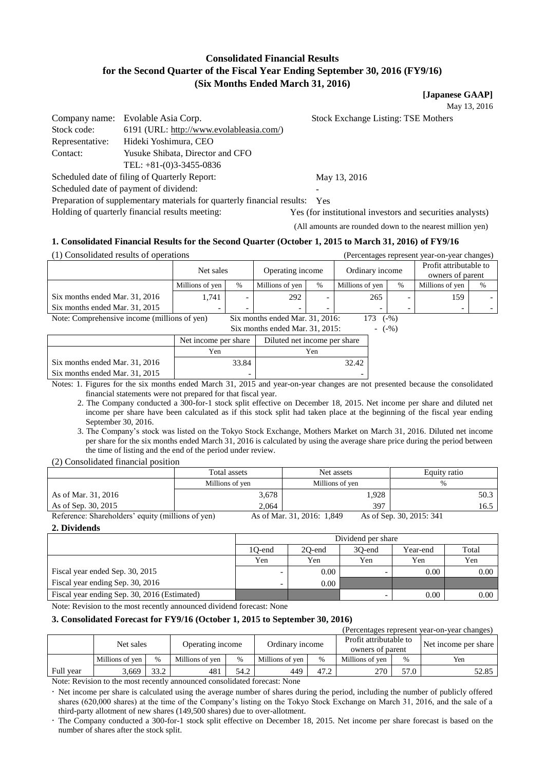# **Consolidated Financial Results for the Second Quarter of the Fiscal Year Ending September 30, 2016 (FY9/16) (Six Months Ended March 31, 2016)**

**[Japanese GAAP]**

May 13, 2016

|                 | Company name: Evolable Asia Corp.        | <b>Stock Exchange Listing: TSE Mothers</b> |
|-----------------|------------------------------------------|--------------------------------------------|
| Stock code:     | 6191 (URL: http://www.evolableasia.com/) |                                            |
| Representative: | Hideki Yoshimura, CEO                    |                                            |
| Contact:        | Yusuke Shibata, Director and CFO         |                                            |
|                 | TEL: $+81-(0)3-3455-0836$                |                                            |

Scheduled date of filing of Quarterly Report: May 13, 2016

Scheduled date of payment of dividend:

Preparation of supplementary materials for quarterly financial results: Yes

Holding of quarterly financial results meeting: Yes (for institutional investors and securities analysts)

(All amounts are rounded down to the nearest million yen)

#### **1. Consolidated Financial Results for the Second Quarter (October 1, 2015 to March 31, 2016) of FY9/16**

(1) Consolidated results of operations (Percentages represent year-on-year changes)

|                                              | Net sales       |      | Operating income                |      | Ordinary income |               | Profit attributable to<br>owners of parent |      |
|----------------------------------------------|-----------------|------|---------------------------------|------|-----------------|---------------|--------------------------------------------|------|
|                                              | Millions of yen | $\%$ | Millions of yen                 | $\%$ | Millions of yen | $\frac{0}{0}$ | Millions of yen                            | $\%$ |
| Six months ended Mar. 31, 2016               | 1.741           |      | 292                             | -    | 265             |               | 159                                        |      |
| Six months ended Mar. 31, 2015               | -               |      |                                 | -    |                 |               |                                            |      |
| Note: Comprehensive income (millions of yen) |                 |      | Six months ended Mar. 31, 2016: |      |                 | $(-\%)$       |                                            |      |

Six months ended Mar.  $31, 2015$ :  $(-\%)$ 

|                                | Net income per share | Diluted net income per share |
|--------------------------------|----------------------|------------------------------|
|                                | Yen                  | Yen                          |
| Six months ended Mar. 31, 2016 | 33.84                | 32.42                        |
| Six months ended Mar. 31, 2015 | -                    |                              |

Notes: 1. Figures for the six months ended March 31, 2015 and year-on-year changes are not presented because the consolidated financial statements were not prepared for that fiscal year.

2. The Company conducted a 300-for-1 stock split effective on December 18, 2015. Net income per share and diluted net income per share have been calculated as if this stock split had taken place at the beginning of the fiscal year ending September 30, 2016.

3. The Company's stock was listed on the Tokyo Stock Exchange, Mothers Market on March 31, 2016. Diluted net income per share for the six months ended March 31, 2016 is calculated by using the average share price during the period between the time of listing and the end of the period under review.

(2) Consolidated financial position

|                                                   | Total assets    | Net assets                 | Equity ratio            |
|---------------------------------------------------|-----------------|----------------------------|-------------------------|
|                                                   | Millions of ven | Millions of ven            | %                       |
| As of Mar. 31, 2016                               | 3,678           | .928                       | 50.3                    |
| As of Sep. 30, 2015                               | 2.064           | 397                        | 16.5                    |
| Reference: Shareholders' equity (millions of yen) |                 | As of Mar $31, 2016$ 1.849 | As of Sep $30.2015:341$ |

enoiders' equity (millions of yen)

**2. Dividends**

|                                              | Dividend per share                              |      |     |      |      |  |  |
|----------------------------------------------|-------------------------------------------------|------|-----|------|------|--|--|
|                                              | Total<br>30-end<br>10-end<br>20-end<br>Year-end |      |     |      |      |  |  |
|                                              | Yen                                             | Yen  | Yen | Yen  | Yen  |  |  |
| Fiscal year ended Sep. 30, 2015              |                                                 | 0.00 |     | 0.00 | 0.00 |  |  |
| Fiscal year ending Sep. 30, 2016             |                                                 | 0.00 |     |      |      |  |  |
| Fiscal year ending Sep. 30, 2016 (Estimated) |                                                 |      | -   | 0.00 | 0.00 |  |  |

Note: Revision to the most recently announced dividend forecast: None

# **3. Consolidated Forecast for FY9/16 (October 1, 2015 to September 30, 2016)**

| (Percentages represent year-on-year changes) |                 |               |                  |      |                 |               |                                            |      |                      |
|----------------------------------------------|-----------------|---------------|------------------|------|-----------------|---------------|--------------------------------------------|------|----------------------|
|                                              | Net sales       |               | Operating income |      | Ordinary income |               | Profit attributable to<br>owners of parent |      | Net income per share |
|                                              | Millions of yen | $\frac{0}{0}$ | Millions of yen  | $\%$ | Millions of yen | $\frac{0}{0}$ | Millions of yen                            | %    | Yen                  |
| Full year                                    | 3,669           | 33.2          | 481              | 54.2 | 449             | 47.2          | 270                                        | 57.0 | 52.85                |

Note: Revision to the most recently announced consolidated forecast: None

 Net income per share is calculated using the average number of shares during the period, including the number of publicly offered shares (620,000 shares) at the time of the Company's listing on the Tokyo Stock Exchange on March 31, 2016, and the sale of a third-party allotment of new shares (149,500 shares) due to over-allotment.

 The Company conducted a 300-for-1 stock split effective on December 18, 2015. Net income per share forecast is based on the number of shares after the stock split.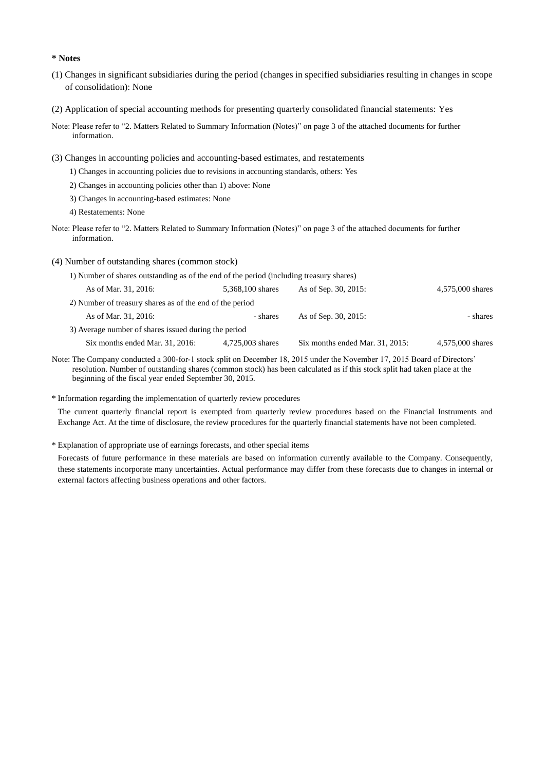#### **\* Notes**

- (1) Changes in significant subsidiaries during the period (changes in specified subsidiaries resulting in changes in scope of consolidation): None
- (2) Application of special accounting methods for presenting quarterly consolidated financial statements: Yes
- Note: Please refer to "2. Matters Related to Summary Information (Notes)" on page 3 of the attached documents for further information.
- (3) Changes in accounting policies and accounting-based estimates, and restatements
	- 1) Changes in accounting policies due to revisions in accounting standards, others: Yes
	- 2) Changes in accounting policies other than 1) above: None
	- 3) Changes in accounting-based estimates: None
	- 4) Restatements: None
- Note: Please refer to "2. Matters Related to Summary Information (Notes)" on page 3 of the attached documents for further information.

#### (4) Number of outstanding shares (common stock)

1) Number of shares outstanding as of the end of the period (including treasury shares)

| As of Mar. 31, 2016:                                     | 5,368,100 shares | As of Sep. 30, 2015:               | 4,575,000 shares |
|----------------------------------------------------------|------------------|------------------------------------|------------------|
| 2) Number of treasury shares as of the end of the period |                  |                                    |                  |
| As of Mar. 31, 2016:                                     | - shares         | As of Sep. 30, 2015:               | - shares         |
| 3) Average number of shares issued during the period     |                  |                                    |                  |
| $Six$ months ended Mar. 31, 2016:                        | 4.725,003 shares | Six months ended Mar. $31, 2015$ : | 4.575,000 shares |

- Note: The Company conducted a 300-for-1 stock split on December 18, 2015 under the November 17, 2015 Board of Directors' resolution. Number of outstanding shares (common stock) has been calculated as if this stock split had taken place at the beginning of the fiscal year ended September 30, 2015.
- \* Information regarding the implementation of quarterly review procedures

The current quarterly financial report is exempted from quarterly review procedures based on the Financial Instruments and Exchange Act. At the time of disclosure, the review procedures for the quarterly financial statements have not been completed.

\* Explanation of appropriate use of earnings forecasts, and other special items

Forecasts of future performance in these materials are based on information currently available to the Company. Consequently, these statements incorporate many uncertainties. Actual performance may differ from these forecasts due to changes in internal or external factors affecting business operations and other factors.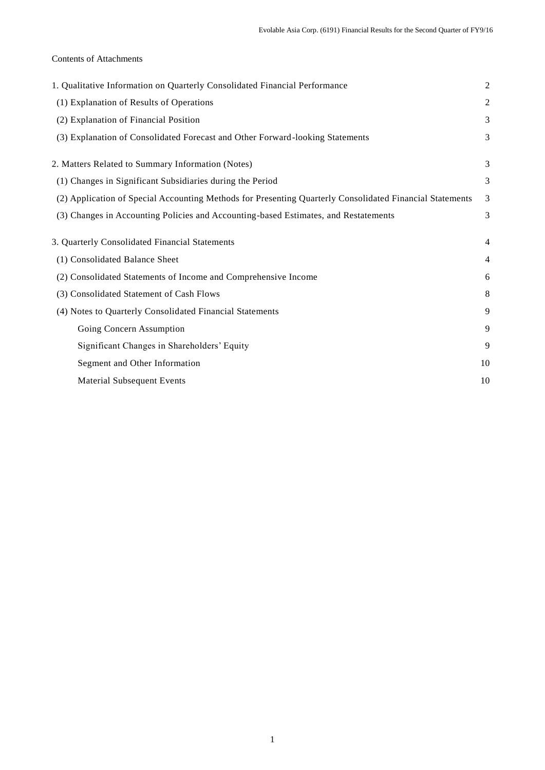# Contents of Attachments

| 1. Qualitative Information on Quarterly Consolidated Financial Performance                               | $\overline{2}$ |
|----------------------------------------------------------------------------------------------------------|----------------|
| (1) Explanation of Results of Operations                                                                 | $\mathfrak{2}$ |
| (2) Explanation of Financial Position                                                                    | 3              |
| (3) Explanation of Consolidated Forecast and Other Forward-looking Statements                            | 3              |
| 2. Matters Related to Summary Information (Notes)                                                        | 3              |
| (1) Changes in Significant Subsidiaries during the Period                                                | 3              |
| (2) Application of Special Accounting Methods for Presenting Quarterly Consolidated Financial Statements | 3              |
| (3) Changes in Accounting Policies and Accounting-based Estimates, and Restatements                      | 3              |
| 3. Quarterly Consolidated Financial Statements                                                           | $\overline{4}$ |
| (1) Consolidated Balance Sheet                                                                           | $\overline{4}$ |
| (2) Consolidated Statements of Income and Comprehensive Income                                           | 6              |
| (3) Consolidated Statement of Cash Flows                                                                 | 8              |
| (4) Notes to Quarterly Consolidated Financial Statements                                                 | 9              |
| Going Concern Assumption                                                                                 | 9              |
| Significant Changes in Shareholders' Equity                                                              | 9              |
| Segment and Other Information                                                                            | 10             |
| <b>Material Subsequent Events</b>                                                                        | 10             |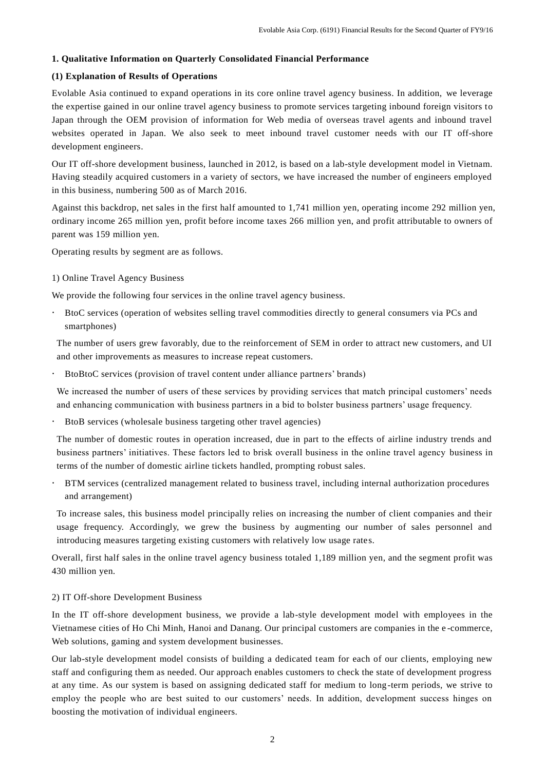# **1. Qualitative Information on Quarterly Consolidated Financial Performance**

# **(1) Explanation of Results of Operations**

Evolable Asia continued to expand operations in its core online travel agency business. In addition, we leverage the expertise gained in our online travel agency business to promote services targeting inbound foreign visitors to Japan through the OEM provision of information for Web media of overseas travel agents and inbound travel websites operated in Japan. We also seek to meet inbound travel customer needs with our IT off-shore development engineers.

Our IT off-shore development business, launched in 2012, is based on a lab-style development model in Vietnam. Having steadily acquired customers in a variety of sectors, we have increased the number of engineers employed in this business, numbering 500 as of March 2016.

Against this backdrop, net sales in the first half amounted to 1,741 million yen, operating income 292 million yen, ordinary income 265 million yen, profit before income taxes 266 million yen, and profit attributable to owners of parent was 159 million yen.

Operating results by segment are as follows.

# 1) Online Travel Agency Business

We provide the following four services in the online travel agency business.

 BtoC services (operation of websites selling travel commodities directly to general consumers via PCs and smartphones)

The number of users grew favorably, due to the reinforcement of SEM in order to attract new customers, and UI and other improvements as measures to increase repeat customers.

BtoBtoC services (provision of travel content under alliance partners' brands)

We increased the number of users of these services by providing services that match principal customers' needs and enhancing communication with business partners in a bid to bolster business partners' usage frequency.

BtoB services (wholesale business targeting other travel agencies)

The number of domestic routes in operation increased, due in part to the effects of airline industry trends and business partners' initiatives. These factors led to brisk overall business in the online travel agency business in terms of the number of domestic airline tickets handled, prompting robust sales.

 BTM services (centralized management related to business travel, including internal authorization procedures and arrangement)

To increase sales, this business model principally relies on increasing the number of client companies and their usage frequency. Accordingly, we grew the business by augmenting our number of sales personnel and introducing measures targeting existing customers with relatively low usage rate s.

Overall, first half sales in the online travel agency business totaled 1,189 million yen, and the segment profit was 430 million yen.

# 2) IT Off-shore Development Business

In the IT off-shore development business, we provide a lab-style development model with employees in the Vietnamese cities of Ho Chi Minh, Hanoi and Danang. Our principal customers are companies in the e -commerce, Web solutions, gaming and system development businesses.

Our lab-style development model consists of building a dedicated team for each of our clients, employing new staff and configuring them as needed. Our approach enables customers to check the state of development progress at any time. As our system is based on assigning dedicated staff for medium to long-term periods, we strive to employ the people who are best suited to our customers' needs. In addition, development success hinges on boosting the motivation of individual engineers.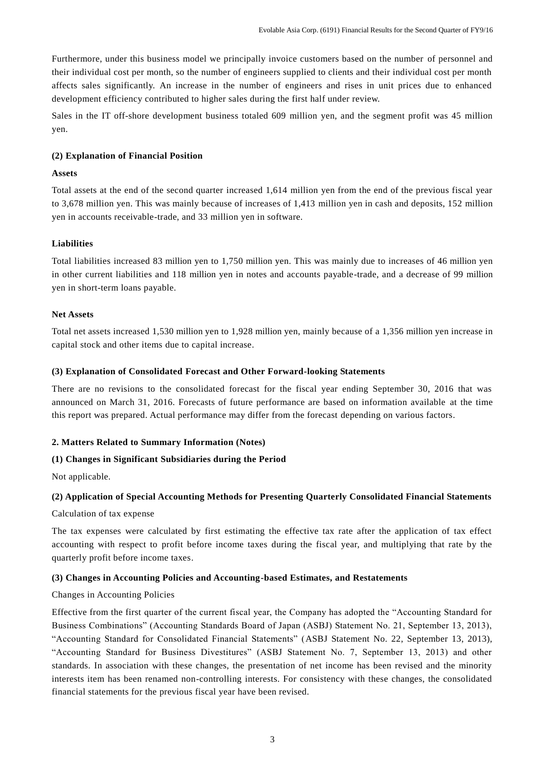Furthermore, under this business model we principally invoice customers based on the number of personnel and their individual cost per month, so the number of engineers supplied to clients and their individual cost per month affects sales significantly. An increase in the number of engineers and rises in unit prices due to enhanced development efficiency contributed to higher sales during the first half under review.

Sales in the IT off-shore development business totaled 609 million yen, and the segment profit was 45 million yen.

#### **(2) Explanation of Financial Position**

#### **Assets**

Total assets at the end of the second quarter increased 1,614 million yen from the end of the previous fiscal year to 3,678 million yen. This was mainly because of increases of 1,413 million yen in cash and deposits, 152 million yen in accounts receivable-trade, and 33 million yen in software.

#### **Liabilities**

Total liabilities increased 83 million yen to 1,750 million yen. This was mainly due to increases of 46 million yen in other current liabilities and 118 million yen in notes and accounts payable-trade, and a decrease of 99 million yen in short-term loans payable.

#### **Net Assets**

Total net assets increased 1,530 million yen to 1,928 million yen, mainly because of a 1,356 million yen increase in capital stock and other items due to capital increase.

#### **(3) Explanation of Consolidated Forecast and Other Forward-looking Statements**

There are no revisions to the consolidated forecast for the fiscal year ending September 30, 2016 that was announced on March 31, 2016. Forecasts of future performance are based on information available at the time this report was prepared. Actual performance may differ from the forecast depending on various factors.

# **2. Matters Related to Summary Information (Notes)**

# **(1) Changes in Significant Subsidiaries during the Period**

Not applicable.

# **(2) Application of Special Accounting Methods for Presenting Quarterly Consolidated Financial Statements**

Calculation of tax expense

The tax expenses were calculated by first estimating the effective tax rate after the application of tax effect accounting with respect to profit before income taxes during the fiscal year, and multiplying that rate by the quarterly profit before income taxes.

#### **(3) Changes in Accounting Policies and Accounting-based Estimates, and Restatements**

# Changes in Accounting Policies

Effective from the first quarter of the current fiscal year, the Company has adopted the "Accounting Standard for Business Combinations" (Accounting Standards Board of Japan (ASBJ) Statement No. 21, September 13, 2013), "Accounting Standard for Consolidated Financial Statements" (ASBJ Statement No. 22, September 13, 2013), "Accounting Standard for Business Divestitures" (ASBJ Statement No. 7, September 13, 2013) and other standards. In association with these changes, the presentation of net income has been revised and the minority interests item has been renamed non-controlling interests. For consistency with these changes, the consolidated financial statements for the previous fiscal year have been revised.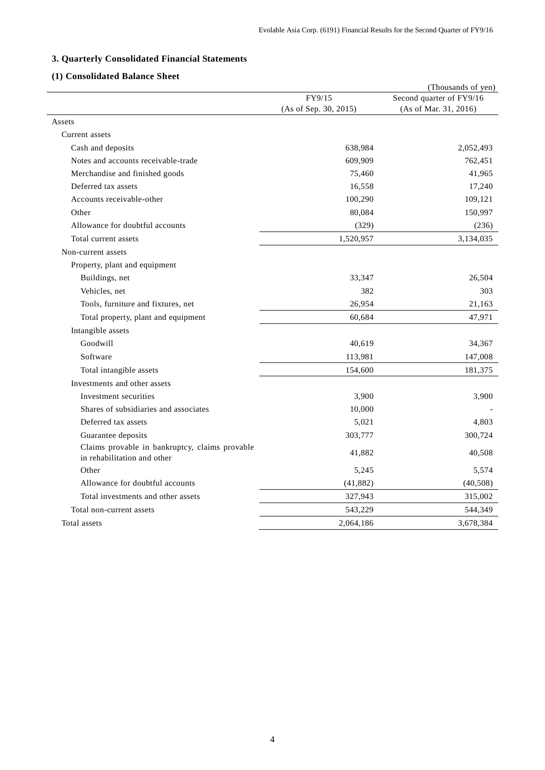# **3. Quarterly Consolidated Financial Statements**

# **(1) Consolidated Balance Sheet**

|                                                                               |                       | (Thousands of yen)       |
|-------------------------------------------------------------------------------|-----------------------|--------------------------|
|                                                                               | FY9/15                | Second quarter of FY9/16 |
|                                                                               | (As of Sep. 30, 2015) | (As of Mar. 31, 2016)    |
| Assets                                                                        |                       |                          |
| Current assets                                                                |                       |                          |
| Cash and deposits                                                             | 638,984               | 2,052,493                |
| Notes and accounts receivable-trade                                           | 609,909               | 762,451                  |
| Merchandise and finished goods                                                | 75,460                | 41,965                   |
| Deferred tax assets                                                           | 16,558                | 17,240                   |
| Accounts receivable-other                                                     | 100,290               | 109,121                  |
| Other                                                                         | 80,084                | 150,997                  |
| Allowance for doubtful accounts                                               | (329)                 | (236)                    |
| Total current assets                                                          | 1,520,957             | 3,134,035                |
| Non-current assets                                                            |                       |                          |
| Property, plant and equipment                                                 |                       |                          |
| Buildings, net                                                                | 33,347                | 26,504                   |
| Vehicles, net                                                                 | 382                   | 303                      |
| Tools, furniture and fixtures, net                                            | 26,954                | 21,163                   |
| Total property, plant and equipment                                           | 60,684                | 47,971                   |
| Intangible assets                                                             |                       |                          |
| Goodwill                                                                      | 40,619                | 34,367                   |
| Software                                                                      | 113,981               | 147,008                  |
| Total intangible assets                                                       | 154,600               | 181,375                  |
| Investments and other assets                                                  |                       |                          |
| Investment securities                                                         | 3,900                 | 3,900                    |
| Shares of subsidiaries and associates                                         | 10,000                |                          |
| Deferred tax assets                                                           | 5,021                 | 4,803                    |
| Guarantee deposits                                                            | 303,777               | 300,724                  |
| Claims provable in bankruptcy, claims provable<br>in rehabilitation and other | 41,882                | 40,508                   |
| Other                                                                         | 5,245                 | 5,574                    |
| Allowance for doubtful accounts                                               | (41, 882)             | (40, 508)                |
| Total investments and other assets                                            | 327,943               | 315,002                  |
| Total non-current assets                                                      | 543,229               | 544,349                  |
| Total assets                                                                  | 2,064,186             | 3,678,384                |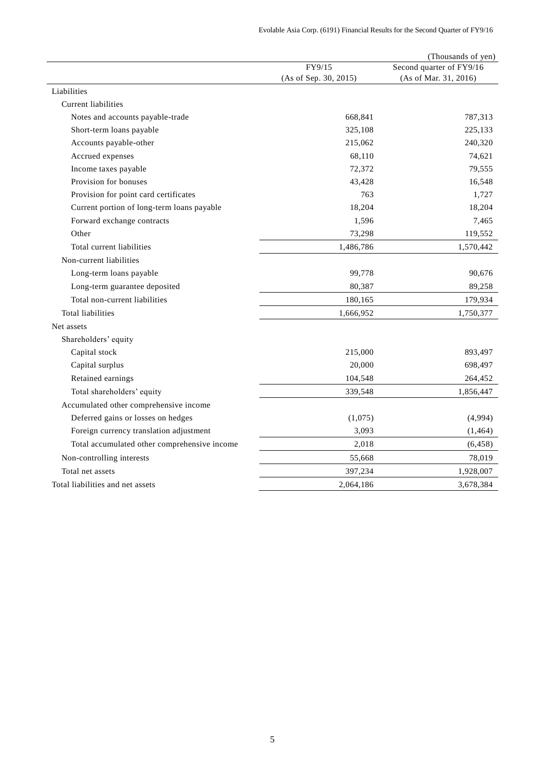|                                              |                       | (Thousands of yen)       |
|----------------------------------------------|-----------------------|--------------------------|
|                                              | FY9/15                | Second quarter of FY9/16 |
|                                              | (As of Sep. 30, 2015) | (As of Mar. 31, 2016)    |
| Liabilities                                  |                       |                          |
| <b>Current liabilities</b>                   |                       |                          |
| Notes and accounts payable-trade             | 668,841               | 787,313                  |
| Short-term loans payable                     | 325,108               | 225,133                  |
| Accounts payable-other                       | 215,062               | 240,320                  |
| Accrued expenses                             | 68,110                | 74,621                   |
| Income taxes payable                         | 72,372                | 79,555                   |
| Provision for bonuses                        | 43,428                | 16,548                   |
| Provision for point card certificates        | 763                   | 1,727                    |
| Current portion of long-term loans payable   | 18,204                | 18,204                   |
| Forward exchange contracts                   | 1,596                 | 7,465                    |
| Other                                        | 73,298                | 119,552                  |
| Total current liabilities                    | 1,486,786             | 1,570,442                |
| Non-current liabilities                      |                       |                          |
| Long-term loans payable                      | 99,778                | 90,676                   |
| Long-term guarantee deposited                | 80,387                | 89,258                   |
| Total non-current liabilities                | 180,165               | 179,934                  |
| <b>Total liabilities</b>                     | 1,666,952             | 1,750,377                |
| Net assets                                   |                       |                          |
| Shareholders' equity                         |                       |                          |
| Capital stock                                | 215,000               | 893,497                  |
| Capital surplus                              | 20,000                | 698,497                  |
| Retained earnings                            | 104,548               | 264,452                  |
| Total shareholders' equity                   | 339,548               | 1,856,447                |
| Accumulated other comprehensive income       |                       |                          |
| Deferred gains or losses on hedges           | (1,075)               | (4,994)                  |
| Foreign currency translation adjustment      | 3,093                 | (1, 464)                 |
| Total accumulated other comprehensive income | 2,018                 | (6, 458)                 |
| Non-controlling interests                    | 55,668                | 78,019                   |
| Total net assets                             | 397,234               | 1,928,007                |
| Total liabilities and net assets             | 2,064,186             | 3,678,384                |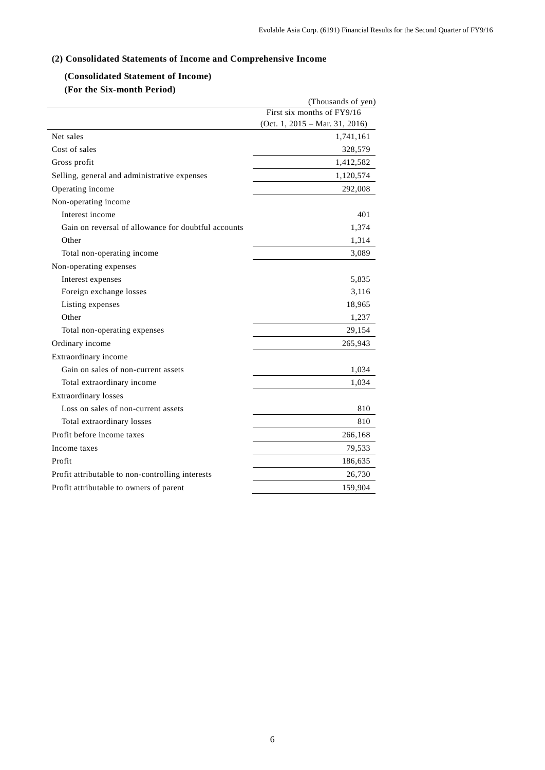# **(2) Consolidated Statements of Income and Comprehensive Income**

# **(Consolidated Statement of Income)**

# **(For the Six-month Period)**

|                                                     | (Thousands of yen)                        |
|-----------------------------------------------------|-------------------------------------------|
|                                                     | First six months of FY9/16                |
|                                                     | (Oct. 1, $2015 - \text{Mar. } 31, 2016$ ) |
| Net sales                                           | 1,741,161                                 |
| Cost of sales                                       | 328,579                                   |
| Gross profit                                        | 1,412,582                                 |
| Selling, general and administrative expenses        | 1,120,574                                 |
| Operating income                                    | 292,008                                   |
| Non-operating income                                |                                           |
| Interest income                                     | 401                                       |
| Gain on reversal of allowance for doubtful accounts | 1,374                                     |
| Other                                               | 1,314                                     |
| Total non-operating income                          | 3,089                                     |
| Non-operating expenses                              |                                           |
| Interest expenses                                   | 5,835                                     |
| Foreign exchange losses                             | 3,116                                     |
| Listing expenses                                    | 18,965                                    |
| Other                                               | 1,237                                     |
| Total non-operating expenses                        | 29,154                                    |
| Ordinary income                                     | 265,943                                   |
| Extraordinary income                                |                                           |
| Gain on sales of non-current assets                 | 1,034                                     |
| Total extraordinary income                          | 1,034                                     |
| <b>Extraordinary losses</b>                         |                                           |
| Loss on sales of non-current assets                 | 810                                       |
| Total extraordinary losses                          | 810                                       |
| Profit before income taxes                          | 266,168                                   |
| Income taxes                                        | 79,533                                    |
| Profit                                              | 186,635                                   |
| Profit attributable to non-controlling interests    | 26,730                                    |
| Profit attributable to owners of parent             | 159,904                                   |
|                                                     |                                           |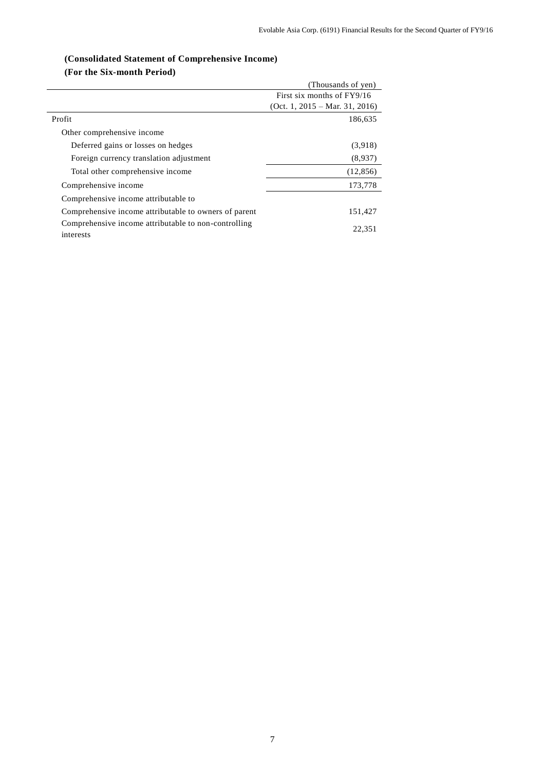# **(Consolidated Statement of Comprehensive Income)**

# **(For the Six-month Period)**

|                                                                   | (Thousands of yen)               |
|-------------------------------------------------------------------|----------------------------------|
|                                                                   | First six months of FY9/16       |
|                                                                   | $(Oct. 1, 2015 - Mar. 31, 2016)$ |
| Profit                                                            | 186,635                          |
| Other comprehensive income                                        |                                  |
| Deferred gains or losses on hedges                                | (3,918)                          |
| Foreign currency translation adjustment                           | (8,937)                          |
| Total other comprehensive income                                  | (12, 856)                        |
| Comprehensive income                                              | 173,778                          |
| Comprehensive income attributable to                              |                                  |
| Comprehensive income attributable to owners of parent             | 151,427                          |
| Comprehensive income attributable to non-controlling<br>interests | 22.351                           |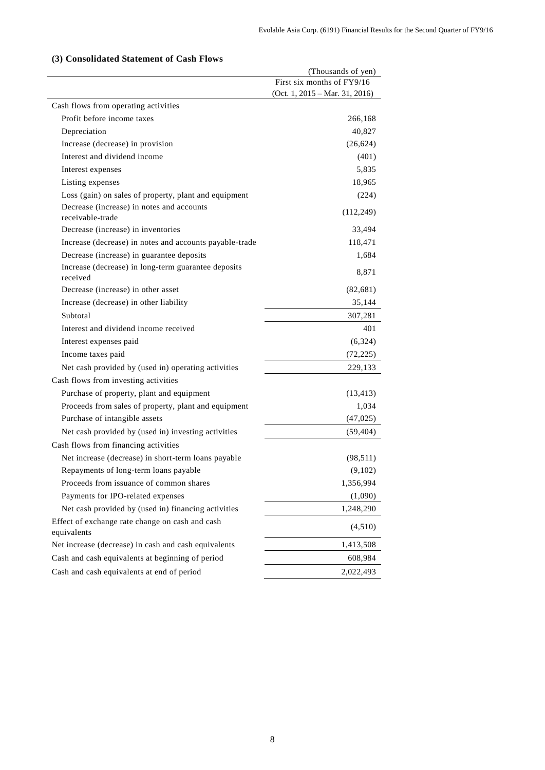# **(3) Consolidated Statement of Cash Flows**

| (Thousands of yen)                                              |            |
|-----------------------------------------------------------------|------------|
| First six months of FY9/16                                      |            |
| (Oct. 1, $2015 - \text{Mar. } 31, 2016$ )                       |            |
| Cash flows from operating activities                            |            |
| Profit before income taxes                                      | 266,168    |
| Depreciation                                                    | 40,827     |
| Increase (decrease) in provision                                | (26, 624)  |
| Interest and dividend income                                    | (401)      |
| Interest expenses                                               | 5,835      |
| Listing expenses                                                | 18,965     |
| Loss (gain) on sales of property, plant and equipment           | (224)      |
| Decrease (increase) in notes and accounts<br>receivable-trade   | (112, 249) |
| Decrease (increase) in inventories                              | 33,494     |
| Increase (decrease) in notes and accounts payable-trade         | 118,471    |
| Decrease (increase) in guarantee deposits                       | 1,684      |
| Increase (decrease) in long-term guarantee deposits<br>received | 8,871      |
| Decrease (increase) in other asset                              | (82, 681)  |
| Increase (decrease) in other liability                          | 35,144     |
| Subtotal                                                        | 307,281    |
| Interest and dividend income received                           | 401        |
| Interest expenses paid                                          | (6, 324)   |
| Income taxes paid                                               | (72, 225)  |
| Net cash provided by (used in) operating activities             | 229,133    |
| Cash flows from investing activities                            |            |
| Purchase of property, plant and equipment                       | (13, 413)  |
| Proceeds from sales of property, plant and equipment            | 1,034      |
| Purchase of intangible assets                                   | (47, 025)  |
| Net cash provided by (used in) investing activities             | (59, 404)  |
| Cash flows from financing activities                            |            |
| Net increase (decrease) in short-term loans payable             | (98, 511)  |
| Repayments of long-term loans payable                           | (9,102)    |
| Proceeds from issuance of common shares                         | 1,356,994  |
| Payments for IPO-related expenses                               | (1,090)    |
| Net cash provided by (used in) financing activities             | 1,248,290  |
| Effect of exchange rate change on cash and cash<br>equivalents  | (4,510)    |
| Net increase (decrease) in cash and cash equivalents            | 1,413,508  |
| Cash and cash equivalents at beginning of period                | 608,984    |
| Cash and cash equivalents at end of period                      | 2,022,493  |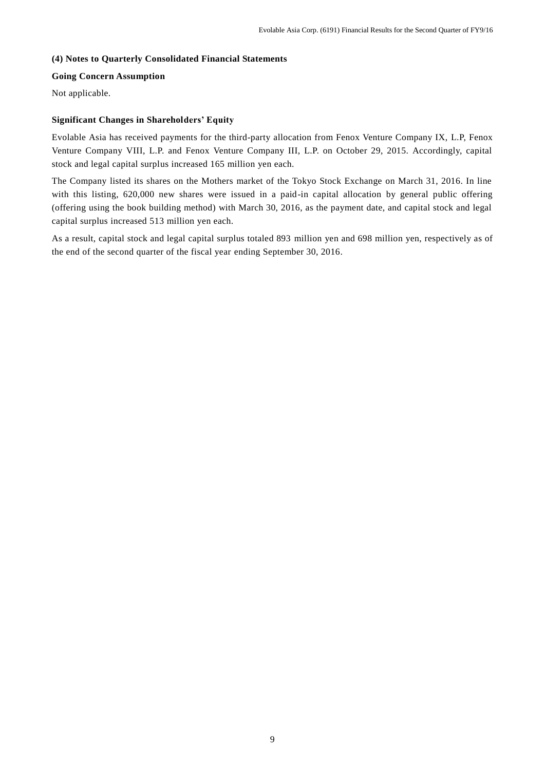# **(4) Notes to Quarterly Consolidated Financial Statements**

# **Going Concern Assumption**

Not applicable.

# **Significant Changes in Shareholders' Equity**

Evolable Asia has received payments for the third-party allocation from Fenox Venture Company IX, L.P, Fenox Venture Company VIII, L.P. and Fenox Venture Company III, L.P. on October 29, 2015. Accordingly, capital stock and legal capital surplus increased 165 million yen each.

The Company listed its shares on the Mothers market of the Tokyo Stock Exchange on March 31, 2016. In line with this listing, 620,000 new shares were issued in a paid-in capital allocation by general public offering (offering using the book building method) with March 30, 2016, as the payment date, and capital stock and legal capital surplus increased 513 million yen each.

As a result, capital stock and legal capital surplus totaled 893 million yen and 698 million yen, respectively as of the end of the second quarter of the fiscal year ending September 30, 2016.